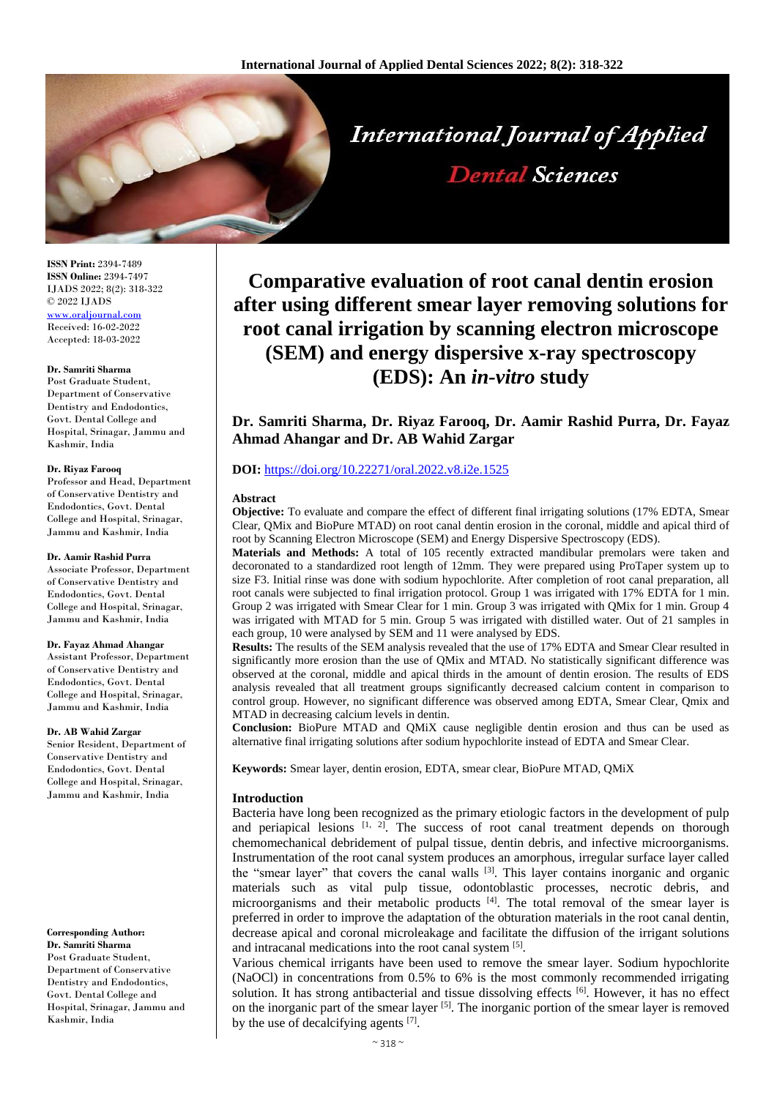

**ISSN Print:** 2394-7489 **ISSN Online:** 2394-7497 IJADS 2022; 8(2): 318-322 © 2022 IJADS [www.oraljournal.com](http://www.oraljournal.com/) Received: 16-02-2022 Accepted: 18-03-2022

#### **Dr. Samriti Sharma**

Post Graduate Student, Department of Conservative Dentistry and Endodontics, Govt. Dental College and Hospital, Srinagar, Jammu and Kashmir, India

#### **Dr. Riyaz Farooq**

Professor and Head, Department of Conservative Dentistry and Endodontics, Govt. Dental College and Hospital, Srinagar, Jammu and Kashmir, India

#### **Dr. Aamir Rashid Purra**

Associate Professor, Department of Conservative Dentistry and Endodontics, Govt. Dental College and Hospital, Srinagar, Jammu and Kashmir, India

#### **Dr. Fayaz Ahmad Ahangar**

Assistant Professor, Department of Conservative Dentistry and Endodontics, Govt. Dental College and Hospital, Srinagar, Jammu and Kashmir, India

#### **Dr. AB Wahid Zargar**

Senior Resident, Department of Conservative Dentistry and Endodontics, Govt. Dental College and Hospital, Srinagar, Jammu and Kashmir, India

# **Corresponding Author:**

**Dr. Samriti Sharma** Post Graduate Student, Department of Conservative Dentistry and Endodontics, Govt. Dental College and Hospital, Srinagar, Jammu and Kashmir, India

# **Comparative evaluation of root canal dentin erosion after using different smear layer removing solutions for root canal irrigation by scanning electron microscope (SEM) and energy dispersive x-ray spectroscopy (EDS): An** *in-vitro* **study**

**Dr. Samriti Sharma, Dr. Riyaz Farooq, Dr. Aamir Rashid Purra, Dr. Fayaz Ahmad Ahangar and Dr. AB Wahid Zargar**

# **DOI:** <https://doi.org/10.22271/oral.2022.v8.i2e.1525>

#### **Abstract**

**Objective:** To evaluate and compare the effect of different final irrigating solutions (17% EDTA, Smear Clear, QMix and BioPure MTAD) on root canal dentin erosion in the coronal, middle and apical third of root by Scanning Electron Microscope (SEM) and Energy Dispersive Spectroscopy (EDS).

**Materials and Methods:** A total of 105 recently extracted mandibular premolars were taken and decoronated to a standardized root length of 12mm. They were prepared using ProTaper system up to size F3. Initial rinse was done with sodium hypochlorite. After completion of root canal preparation, all root canals were subjected to final irrigation protocol. Group 1 was irrigated with 17% EDTA for 1 min. Group 2 was irrigated with Smear Clear for 1 min. Group 3 was irrigated with QMix for 1 min. Group 4 was irrigated with MTAD for 5 min. Group 5 was irrigated with distilled water. Out of 21 samples in each group, 10 were analysed by SEM and 11 were analysed by EDS.

**Results:** The results of the SEM analysis revealed that the use of 17% EDTA and Smear Clear resulted in significantly more erosion than the use of QMix and MTAD. No statistically significant difference was observed at the coronal, middle and apical thirds in the amount of dentin erosion. The results of EDS analysis revealed that all treatment groups significantly decreased calcium content in comparison to control group. However, no significant difference was observed among EDTA, Smear Clear, Qmix and MTAD in decreasing calcium levels in dentin.

**Conclusion:** BioPure MTAD and QMiX cause negligible dentin erosion and thus can be used as alternative final irrigating solutions after sodium hypochlorite instead of EDTA and Smear Clear.

**Keywords:** Smear layer, dentin erosion, EDTA, smear clear, BioPure MTAD, QMiX

# **Introduction**

Bacteria have long been recognized as the primary etiologic factors in the development of pulp and periapical lesions  $\left[1, 2\right]$ . The success of root canal treatment depends on thorough chemomechanical debridement of pulpal tissue, dentin debris, and infective microorganisms. Instrumentation of the root canal system produces an amorphous, irregular surface layer called the "smear layer" that covers the canal walls [3]. This layer contains inorganic and organic materials such as vital pulp tissue, odontoblastic processes, necrotic debris, and microorganisms and their metabolic products [4]. The total removal of the smear layer is preferred in order to improve the adaptation of the obturation materials in the root canal dentin, decrease apical and coronal microleakage and facilitate the diffusion of the irrigant solutions and intracanal medications into the root canal system [5].

Various chemical irrigants have been used to remove the smear layer. Sodium hypochlorite (NaOCl) in concentrations from 0.5% to 6% is the most commonly recommended irrigating solution. It has strong antibacterial and tissue dissolving effects [6]. However, it has no effect on the inorganic part of the smear layer [5]. The inorganic portion of the smear layer is removed by the use of decalcifying agents [7].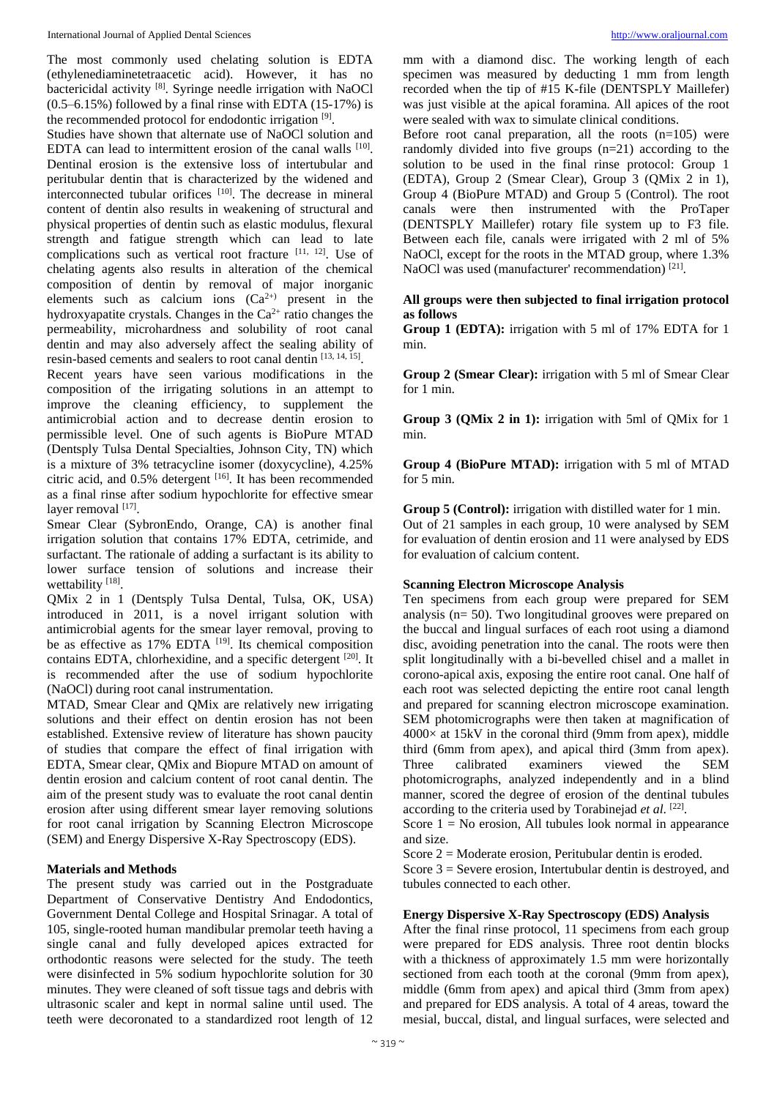The most commonly used chelating solution is EDTA (ethylenediaminetetraacetic acid). However, it has no bactericidal activity [8]. Syringe needle irrigation with NaOCl  $(0.5-6.15%)$  followed by a final rinse with EDTA  $(15-17%)$  is the recommended protocol for endodontic irrigation [9].

Studies have shown that alternate use of NaOCl solution and EDTA can lead to intermittent erosion of the canal walls [10]. Dentinal erosion is the extensive loss of intertubular and peritubular dentin that is characterized by the widened and interconnected tubular orifices [10]. The decrease in mineral content of dentin also results in weakening of structural and physical properties of dentin such as elastic modulus, flexural strength and fatigue strength which can lead to late complications such as vertical root fracture [11, 12]. Use of chelating agents also results in alteration of the chemical composition of dentin by removal of major inorganic elements such as calcium ions  $(Ca^{2+})$  present in the hydroxyapatite crystals. Changes in the  $Ca<sup>2+</sup>$  ratio changes the permeability, microhardness and solubility of root canal dentin and may also adversely affect the sealing ability of resin-based cements and sealers to root canal dentin [13, 14, 15].

Recent years have seen various modifications in the composition of the irrigating solutions in an attempt to improve the cleaning efficiency, to supplement the antimicrobial action and to decrease dentin erosion to permissible level. One of such agents is BioPure MTAD (Dentsply Tulsa Dental Specialties, Johnson City, TN) which is a mixture of 3% tetracycline isomer (doxycycline), 4.25% citric acid, and  $0.5\%$  detergent  $[16]$ . It has been recommended as a final rinse after sodium hypochlorite for effective smear layer removal [17].

Smear Clear (SybronEndo, Orange, CA) is another final irrigation solution that contains 17% EDTA, cetrimide, and surfactant. The rationale of adding a surfactant is its ability to lower surface tension of solutions and increase their wettability [18].

QMix 2 in 1 (Dentsply Tulsa Dental, Tulsa, OK, USA) introduced in 2011, is a novel irrigant solution with antimicrobial agents for the smear layer removal, proving to be as effective as  $17\%$  EDTA  $^{[19]}$ . Its chemical composition contains EDTA, chlorhexidine, and a specific detergent [20]. It is recommended after the use of sodium hypochlorite (NaOCl) during root canal instrumentation.

MTAD, Smear Clear and QMix are relatively new irrigating solutions and their effect on dentin erosion has not been established. Extensive review of literature has shown paucity of studies that compare the effect of final irrigation with EDTA, Smear clear, QMix and Biopure MTAD on amount of dentin erosion and calcium content of root canal dentin. The aim of the present study was to evaluate the root canal dentin erosion after using different smear layer removing solutions for root canal irrigation by Scanning Electron Microscope (SEM) and Energy Dispersive X-Ray Spectroscopy (EDS).

# **Materials and Methods**

The present study was carried out in the Postgraduate Department of Conservative Dentistry And Endodontics, Government Dental College and Hospital Srinagar. A total of 105, single-rooted human mandibular premolar teeth having a single canal and fully developed apices extracted for orthodontic reasons were selected for the study. The teeth were disinfected in 5% sodium hypochlorite solution for 30 minutes. They were cleaned of soft tissue tags and debris with ultrasonic scaler and kept in normal saline until used. The teeth were decoronated to a standardized root length of 12

mm with a diamond disc. The working length of each specimen was measured by deducting 1 mm from length recorded when the tip of #15 K-file (DENTSPLY Maillefer) was just visible at the apical foramina. All apices of the root were sealed with wax to simulate clinical conditions.

Before root canal preparation, all the roots  $(n=105)$  were randomly divided into five groups (n=21) according to the solution to be used in the final rinse protocol: Group 1 (EDTA), Group 2 (Smear Clear), Group 3 (QMix 2 in 1), Group 4 (BioPure MTAD) and Group 5 (Control). The root canals were then instrumented with the ProTaper (DENTSPLY Maillefer) rotary file system up to F3 file. Between each file, canals were irrigated with 2 ml of 5% NaOCl, except for the roots in the MTAD group, where 1.3% NaOCl was used (manufacturer' recommendation) [21] .

# **All groups were then subjected to final irrigation protocol as follows**

**Group 1 (EDTA):** irrigation with 5 ml of 17% EDTA for 1 min.

**Group 2 (Smear Clear):** irrigation with 5 ml of Smear Clear for 1 min.

**Group 3 (QMix 2 in 1):** irrigation with 5ml of QMix for 1 min.

**Group 4 (BioPure MTAD):** irrigation with 5 ml of MTAD for 5 min.

**Group 5 (Control):** irrigation with distilled water for 1 min. Out of 21 samples in each group, 10 were analysed by SEM for evaluation of dentin erosion and 11 were analysed by EDS for evaluation of calcium content.

# **Scanning Electron Microscope Analysis**

Ten specimens from each group were prepared for SEM analysis (n= 50). Two longitudinal grooves were prepared on the buccal and lingual surfaces of each root using a diamond disc, avoiding penetration into the canal. The roots were then split longitudinally with a bi-bevelled chisel and a mallet in corono-apical axis, exposing the entire root canal. One half of each root was selected depicting the entire root canal length and prepared for scanning electron microscope examination. SEM photomicrographs were then taken at magnification of  $4000\times$  at 15kV in the coronal third (9mm from apex), middle third (6mm from apex), and apical third (3mm from apex). Three calibrated examiners viewed the SEM photomicrographs, analyzed independently and in a blind manner, scored the degree of erosion of the dentinal tubules according to the criteria used by Torabinejad *et al*. [22] .

Score  $1 = No$  erosion. All tubules look normal in appearance and size.

Score 2 = Moderate erosion, Peritubular dentin is eroded.

Score 3 = Severe erosion, Intertubular dentin is destroyed, and tubules connected to each other.

#### **Energy Dispersive X-Ray Spectroscopy (EDS) Analysis**

After the final rinse protocol, 11 specimens from each group were prepared for EDS analysis. Three root dentin blocks with a thickness of approximately 1.5 mm were horizontally sectioned from each tooth at the coronal (9mm from apex), middle (6mm from apex) and apical third (3mm from apex) and prepared for EDS analysis. A total of 4 areas, toward the mesial, buccal, distal, and lingual surfaces, were selected and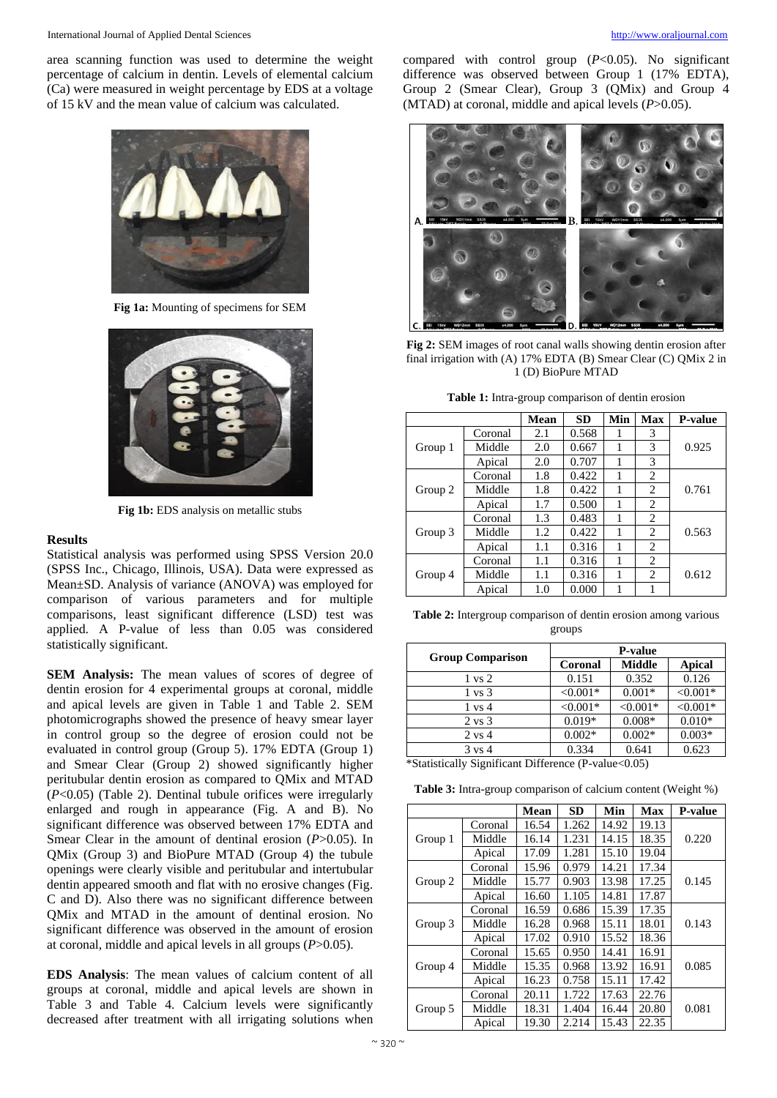area scanning function was used to determine the weight percentage of calcium in dentin. Levels of elemental calcium (Ca) were measured in weight percentage by EDS at a voltage of 15 kV and the mean value of calcium was calculated.



**Fig 1a:** Mounting of specimens for SEM



**Fig 1b:** EDS analysis on metallic stubs

# **Results**

Statistical analysis was performed using SPSS Version 20.0 (SPSS Inc., Chicago, Illinois, USA). Data were expressed as Mean±SD. Analysis of variance (ANOVA) was employed for comparison of various parameters and for multiple comparisons, least significant difference (LSD) test was applied. A P-value of less than 0.05 was considered statistically significant.

**SEM Analysis:** The mean values of scores of degree of dentin erosion for 4 experimental groups at coronal, middle and apical levels are given in Table 1 and Table 2. SEM photomicrographs showed the presence of heavy smear layer in control group so the degree of erosion could not be evaluated in control group (Group 5). 17% EDTA (Group 1) and Smear Clear (Group 2) showed significantly higher peritubular dentin erosion as compared to QMix and MTAD (*P*<0.05) (Table 2). Dentinal tubule orifices were irregularly enlarged and rough in appearance (Fig. A and B). No significant difference was observed between 17% EDTA and Smear Clear in the amount of dentinal erosion (*P*>0.05). In QMix (Group 3) and BioPure MTAD (Group 4) the tubule openings were clearly visible and peritubular and intertubular dentin appeared smooth and flat with no erosive changes (Fig. C and D). Also there was no significant difference between QMix and MTAD in the amount of dentinal erosion. No significant difference was observed in the amount of erosion at coronal, middle and apical levels in all groups (*P*>0.05).

**EDS Analysis**: The mean values of calcium content of all groups at coronal, middle and apical levels are shown in Table 3 and Table 4. Calcium levels were significantly decreased after treatment with all irrigating solutions when

compared with control group (*P*<0.05). No significant difference was observed between Group 1 (17% EDTA), Group 2 (Smear Clear), Group 3 (QMix) and Group 4 (MTAD) at coronal, middle and apical levels (*P*>0.05).



**Fig 2:** SEM images of root canal walls showing dentin erosion after final irrigation with (A) 17% EDTA (B) Smear Clear (C) QMix 2 in 1 (D) BioPure MTAD

**Table 1:** Intra-group comparison of dentin erosion

|         |         | <b>Mean</b> | <b>SD</b> | Min | <b>Max</b>     | <b>P-value</b> |
|---------|---------|-------------|-----------|-----|----------------|----------------|
| Group 1 | Coronal | 2.1         | 0.568     | 1   | 3              |                |
|         | Middle  | 2.0         | 0.667     |     | 3              | 0.925          |
|         | Apical  | 2.0         | 0.707     |     | 3              |                |
| Group 2 | Coronal | 1.8         | 0.422     | 1   | $\overline{c}$ |                |
|         | Middle  | 1.8         | 0.422     | 1   | 2              | 0.761          |
|         | Apical  | 1.7         | 0.500     |     | $\overline{c}$ |                |
| Group 3 | Coronal | 1.3         | 0.483     |     | 2              |                |
|         | Middle  | 1.2         | 0.422     |     | $\overline{c}$ | 0.563          |
|         | Apical  | 1.1         | 0.316     |     | 2              |                |
| Group 4 | Coronal | 1.1         | 0.316     |     | 2              |                |
|         | Middle  | 1.1         | 0.316     |     | 2              | 0.612          |
|         | Apical  | 1.0         | 0.000     | 1   | 1              |                |

**Table 2:** Intergroup comparison of dentin erosion among various groups

|                         | <b>P-value</b> |               |               |  |  |
|-------------------------|----------------|---------------|---------------|--|--|
| <b>Group Comparison</b> | Coronal        | <b>Middle</b> | <b>Apical</b> |  |  |
| $1 \text{ vs } 2$       | 0.151          | 0.352         | 0.126         |  |  |
| 1 vs 3                  | $< 0.001*$     | $0.001*$      | $< 0.001*$    |  |  |
| $1 \text{ vs } 4$       | $< 0.001*$     | $< 0.001*$    | $< 0.001*$    |  |  |
| $2 \text{ vs } 3$       | $0.019*$       | $0.008*$      | $0.010*$      |  |  |
| $2 \text{ vs } 4$       | $0.002*$       | $0.002*$      | $0.003*$      |  |  |
| $3 \text{ vs } 4$       | 0.334          | 0.641         | 0.623         |  |  |

\*Statistically Significant Difference (P-value<0.05)

**Table 3:** Intra-group comparison of calcium content (Weight %)

|         |         | <b>Mean</b> | <b>SD</b> | Min   | Max   | <b>P-value</b> |
|---------|---------|-------------|-----------|-------|-------|----------------|
| Group 1 | Coronal | 16.54       | 1.262     | 14.92 | 19.13 |                |
|         | Middle  | 16.14       | 1.231     | 14.15 | 18.35 | 0.220          |
|         | Apical  | 17.09       | 1.281     | 15.10 | 19.04 |                |
| Group 2 | Coronal | 15.96       | 0.979     | 14.21 | 17.34 |                |
|         | Middle  | 15.77       | 0.903     | 13.98 | 17.25 | 0.145          |
|         | Apical  | 16.60       | 1.105     | 14.81 | 17.87 |                |
| Group 3 | Coronal | 16.59       | 0.686     | 15.39 | 17.35 |                |
|         | Middle  | 16.28       | 0.968     | 15.11 | 18.01 | 0.143          |
|         | Apical  | 17.02       | 0.910     | 15.52 | 18.36 |                |
| Group 4 | Coronal | 15.65       | 0.950     | 14.41 | 16.91 |                |
|         | Middle  | 15.35       | 0.968     | 13.92 | 16.91 | 0.085          |
|         | Apical  | 16.23       | 0.758     | 15.11 | 17.42 |                |
| Group 5 | Coronal | 20.11       | 1.722     | 17.63 | 22.76 |                |
|         | Middle  | 18.31       | 1.404     | 16.44 | 20.80 | 0.081          |
|         | Apical  | 19.30       | 2.214     | 15.43 | 22.35 |                |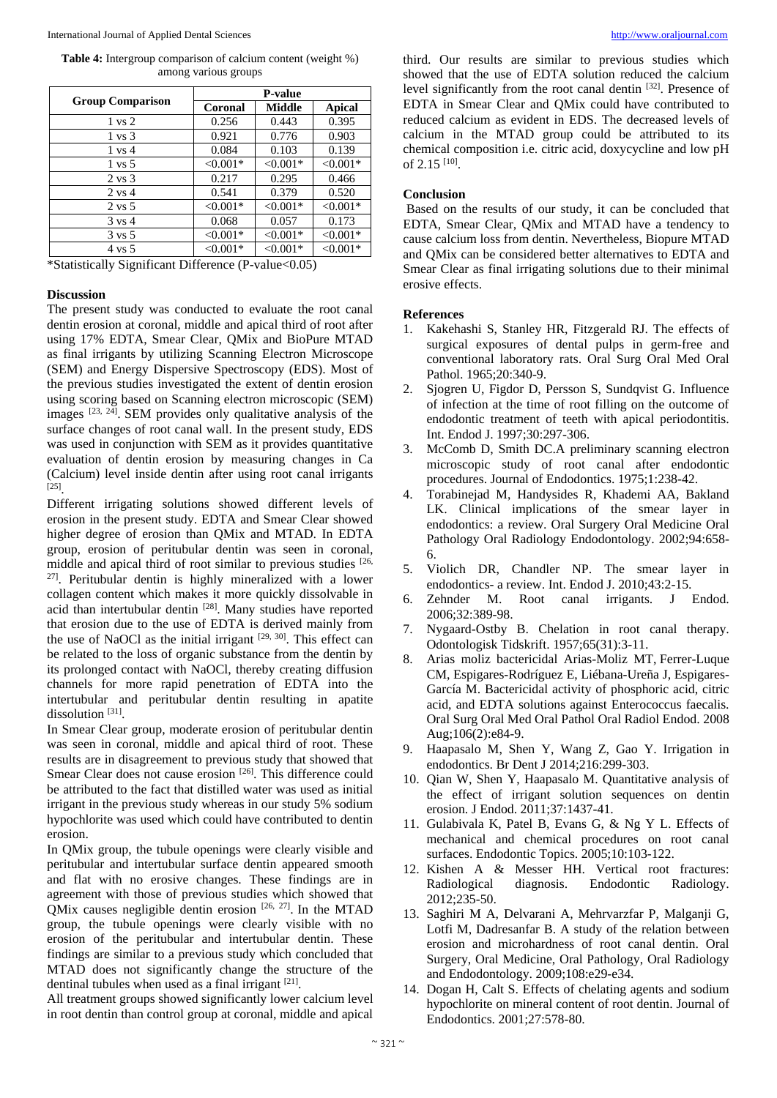**Table 4:** Intergroup comparison of calcium content (weight %) among various groups

|                         | <b>P-value</b> |               |               |  |  |
|-------------------------|----------------|---------------|---------------|--|--|
| <b>Group Comparison</b> | Coronal        | <b>Middle</b> | <b>Apical</b> |  |  |
| $1 \text{ vs } 2$       | 0.256          | 0.443         | 0.395         |  |  |
| $1 \text{ vs } 3$       | 0.921          | 0.776         | 0.903         |  |  |
| $1 \text{ vs } 4$       | 0.084          | 0.103         | 0.139         |  |  |
| $1 \text{ vs } 5$       | $< 0.001*$     | $< 0.001*$    | $< 0.001*$    |  |  |
| $2 \text{ vs } 3$       | 0.217          | 0.295         | 0.466         |  |  |
| $2 \text{ vs } 4$       | 0.541          | 0.379         | 0.520         |  |  |
| $2 \text{ vs } 5$       | $< 0.001*$     | $< 0.001*$    | $< 0.001*$    |  |  |
| $3 \text{ vs } 4$       | 0.068          | 0.057         | 0.173         |  |  |
| $3 \text{ vs } 5$       | $< 0.001*$     | $< 0.001*$    | $< 0.001*$    |  |  |
| 4 vs 5                  | $< 0.001*$     | $< 0.001*$    | $< 0.001*$    |  |  |

\*Statistically Significant Difference (P-value<0.05)

#### **Discussion**

The present study was conducted to evaluate the root canal dentin erosion at coronal, middle and apical third of root after using 17% EDTA, Smear Clear, QMix and BioPure MTAD as final irrigants by utilizing Scanning Electron Microscope (SEM) and Energy Dispersive Spectroscopy (EDS). Most of the previous studies investigated the extent of dentin erosion using scoring based on Scanning electron microscopic (SEM) images  $[23, 24]$ . SEM provides only qualitative analysis of the surface changes of root canal wall. In the present study, EDS was used in conjunction with SEM as it provides quantitative evaluation of dentin erosion by measuring changes in Ca (Calcium) level inside dentin after using root canal irrigants [25] .

Different irrigating solutions showed different levels of erosion in the present study. EDTA and Smear Clear showed higher degree of erosion than QMix and MTAD. In EDTA group, erosion of peritubular dentin was seen in coronal, middle and apical third of root similar to previous studies [26, 27]. Peritubular dentin is highly mineralized with a lower collagen content which makes it more quickly dissolvable in acid than intertubular dentin [28]. Many studies have reported that erosion due to the use of EDTA is derived mainly from the use of NaOCl as the initial irrigant  $[29, 30]$ . This effect can be related to the loss of organic substance from the dentin by its prolonged contact with NaOCl, thereby creating diffusion channels for more rapid penetration of EDTA into the intertubular and peritubular dentin resulting in apatite dissolution<sup>[31]</sup>.

In Smear Clear group, moderate erosion of peritubular dentin was seen in coronal, middle and apical third of root. These results are in disagreement to previous study that showed that Smear Clear does not cause erosion [26]. This difference could be attributed to the fact that distilled water was used as initial irrigant in the previous study whereas in our study 5% sodium hypochlorite was used which could have contributed to dentin erosion.

In QMix group, the tubule openings were clearly visible and peritubular and intertubular surface dentin appeared smooth and flat with no erosive changes. These findings are in agreement with those of previous studies which showed that QMix causes negligible dentin erosion  $[26, 27]$ . In the MTAD group, the tubule openings were clearly visible with no erosion of the peritubular and intertubular dentin. These findings are similar to a previous study which concluded that MTAD does not significantly change the structure of the dentinal tubules when used as a final irrigant [21].

All treatment groups showed significantly lower calcium level in root dentin than control group at coronal, middle and apical

third. Our results are similar to previous studies which showed that the use of EDTA solution reduced the calcium level significantly from the root canal dentin [32]. Presence of EDTA in Smear Clear and QMix could have contributed to reduced calcium as evident in EDS. The decreased levels of calcium in the MTAD group could be attributed to its chemical composition i.e. citric acid, doxycycline and low pH of 2.15 [10] .

# **Conclusion**

Based on the results of our study, it can be concluded that EDTA, Smear Clear, QMix and MTAD have a tendency to cause calcium loss from dentin. Nevertheless, Biopure MTAD and QMix can be considered better alternatives to EDTA and Smear Clear as final irrigating solutions due to their minimal erosive effects.

#### **References**

- 1. Kakehashi S, Stanley HR, Fitzgerald RJ. The effects of surgical exposures of dental pulps in germ-free and conventional laboratory rats. Oral Surg Oral Med Oral Pathol. 1965;20:340-9.
- 2. Sjogren U, Figdor D, Persson S, Sundqvist G. Influence of infection at the time of root filling on the outcome of endodontic treatment of teeth with apical periodontitis. Int. Endod J. 1997;30:297-306.
- 3. McComb D, Smith DC.A preliminary scanning electron microscopic study of root canal after endodontic procedures. Journal of Endodontics. 1975;1:238-42.
- 4. Torabinejad M, Handysides R, Khademi AA, Bakland LK. Clinical implications of the smear layer in endodontics: a review. Oral Surgery Oral Medicine Oral Pathology Oral Radiology Endodontology. 2002;94:658- 6.
- 5. Violich DR, Chandler NP. The smear layer in endodontics- a review. Int. Endod J. 2010;43:2-15.
- 6. Zehnder M. Root canal irrigants. J Endod. 2006;32:389-98.
- 7. Nygaard-Ostby B. Chelation in root canal therapy. Odontologisk Tidskrift. 1957;65(31):3-11.
- 8. Arias moliz bactericidal Arias-Moliz MT, Ferrer-Luque CM, Espigares-Rodríguez E, Liébana-Ureña J, Espigares-García M. Bactericidal activity of phosphoric acid, citric acid, and EDTA solutions against Enterococcus faecalis. Oral Surg Oral Med Oral Pathol Oral Radiol Endod. 2008 Aug;106(2):e84-9.
- 9. Haapasalo M, Shen Y, Wang Z, Gao Y. Irrigation in endodontics. Br Dent J 2014;216:299-303.
- 10. Qian W, Shen Y, Haapasalo M. Quantitative analysis of the effect of irrigant solution sequences on dentin erosion. J Endod. 2011;37:1437-41.
- 11. Gulabivala K, Patel B, Evans G, & Ng Y L. Effects of mechanical and chemical procedures on root canal surfaces. Endodontic Topics. 2005;10:103-122.
- 12. Kishen A & Messer HH. Vertical root fractures: Radiological diagnosis. Endodontic Radiology. 2012;235-50.
- 13. Saghiri M A, Delvarani A, Mehrvarzfar P, Malganji G, Lotfi M, Dadresanfar B. A study of the relation between erosion and microhardness of root canal dentin. Oral Surgery, Oral Medicine, Oral Pathology, Oral Radiology and Endodontology. 2009;108:e29-e34.
- 14. Dogan H, Calt S. Effects of chelating agents and sodium hypochlorite on mineral content of root dentin. Journal of Endodontics. 2001;27:578-80.